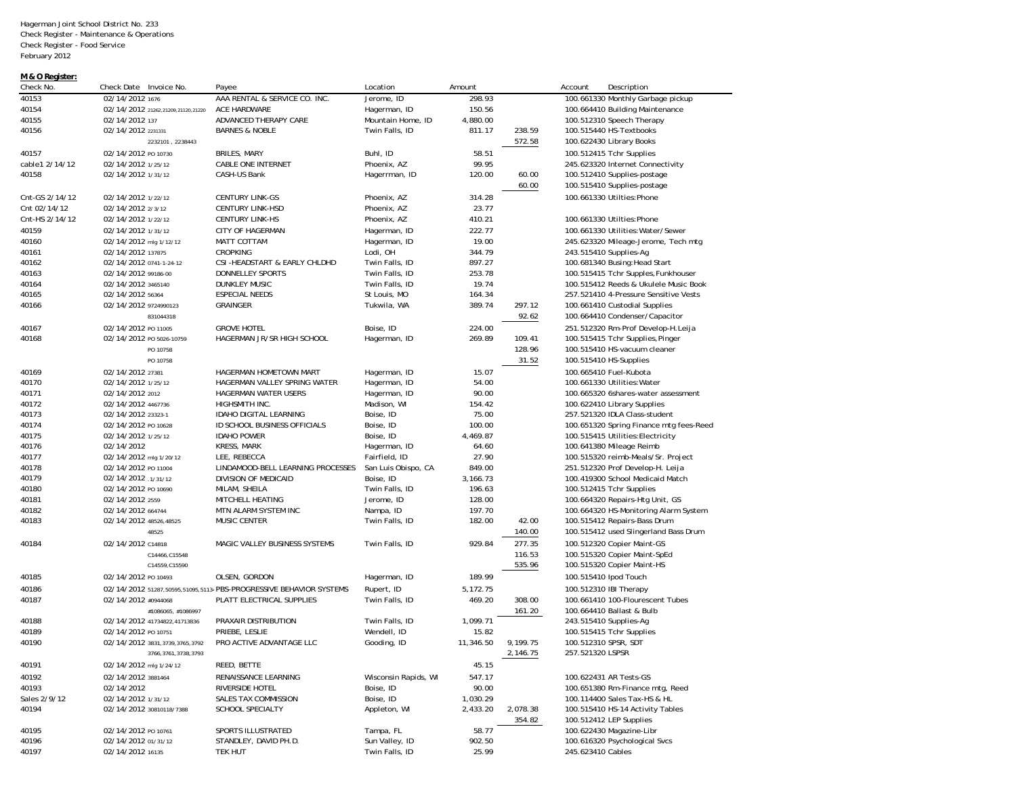Hagerman Joint School District No. 233 Check Register - Maintenance & Operations Check Register - Food Service February 2012

## **M & O Register:**

| Check No.      | Check Date Invoice No.             | Payee                                                                  | Location                  | Amount    |          | Account<br>Description                  |
|----------------|------------------------------------|------------------------------------------------------------------------|---------------------------|-----------|----------|-----------------------------------------|
| 40153          | 02/14/2012 1676                    | AAA RENTAL & SERVICE CO. INC.                                          | Jerome, ID                | 298.93    |          | 100.661330 Monthly Garbage pickup       |
| 40154          | 02/14/2012 21262,21209,21120,21220 | ACE HARDWARE                                                           | Hagerman, ID              | 150.56    |          | 100.664410 Building Maintenance         |
| 40155          | 02/14/2012 137                     | ADVANCED THERAPY CARE                                                  | Mountain Home, ID         | 4,880.00  |          | 100.512310 Speech Therapy               |
| 40156          | 02/14/2012 2231331                 | <b>BARNES &amp; NOBLE</b>                                              | Twin Falls, ID            | 811.17    | 238.59   | 100.515440 HS-Textbooks                 |
|                | 2232101, 2238443                   |                                                                        |                           |           | 572.58   | 100.622430 Library Books                |
| 40157          | 02/14/2012 PO 10730                | BRILES, MARY                                                           | Buhl, ID                  | 58.51     |          | 100.512415 Tchr Supplies                |
| cable1 2/14/12 | 02/14/2012 1/25/12                 | <b>CABLE ONE INTERNET</b>                                              | Phoenix, AZ               | 99.95     |          | 245.623320 Internet Connectivity        |
| 40158          | 02/14/2012 1/31/12                 | CASH-US Bank                                                           | Hagerrman, ID             | 120.00    | 60.00    | 100.512410 Supplies-postage             |
|                |                                    |                                                                        |                           |           | 60.00    | 100.515410 Supplies-postage             |
| Cnt-GS 2/14/12 | 02/14/2012 1/22/12                 | <b>CENTURY LINK-GS</b>                                                 | Phoenix, AZ               | 314.28    |          | 100.661330 Utilties: Phone              |
| Cnt 02/14/12   | 02/14/2012 2/3/12                  | <b>CENTURY LINK-HSD</b>                                                | Phoenix, AZ               | 23.77     |          |                                         |
| Cnt-HS 2/14/12 | 02/14/2012 1/22/12                 | <b>CENTURY LINK-HS</b>                                                 | Phoenix, AZ               | 410.21    |          | 100.661330 Utilties: Phone              |
| 40159          | 02/14/2012 1/31/12                 | <b>CITY OF HAGERMAN</b>                                                | Hagerman, ID              | 222.77    |          | 100.661330 Utilities: Water/Sewer       |
| 40160          | 02/14/2012 mlg 1/12/12             | MATT COTTAM                                                            | Hagerman, ID              | 19.00     |          | 245.623320 Mileage-Jerome, Tech mtg     |
| 40161          | 02/14/2012 137875                  | <b>CROPKING</b>                                                        | Lodi, OH                  | 344.79    |          | 243.515410 Supplies-Ag                  |
| 40162          | 02/14/2012 0741-1-24-12            | CSI-HEADSTART & EARLY CHLDHD                                           | Twin Falls, ID            | 897.27    |          | 100.681340 Busing: Head Start           |
| 40163          | 02/14/2012 99186-00                | <b>DONNELLEY SPORTS</b>                                                | Twin Falls, ID            | 253.78    |          | 100.515415 Tchr Supples, Funkhouser     |
| 40164          | 02/14/2012 3465140                 | <b>DUNKLEY MUSIC</b>                                                   | Twin Falls, ID            | 19.74     |          | 100.515412 Reeds & Ukulele Music Book   |
| 40165          | 02/14/2012 56364                   | <b>ESPECIAL NEEDS</b>                                                  | St Louis, MO              | 164.34    |          | 257.521410 4-Pressure Sensitive Vests   |
| 40166          | 02/14/2012 9724990123              | <b>GRAINGER</b>                                                        | Tukwila, WA               | 389.74    | 297.12   | 100.661410 Custodial Supplies           |
|                | 831044318                          |                                                                        |                           |           | 92.62    | 100.664410 Condenser/Capacitor          |
|                | 02/14/2012 PO 11005                | <b>GROVE HOTEL</b>                                                     |                           |           |          |                                         |
| 40167          | 02/14/2012 PO 5026-10759           |                                                                        | Boise, ID<br>Hagerman, ID | 224.00    |          | 251.512320 Rm-Prof Develop-H.Leija      |
| 40168          |                                    | HAGERMAN JR/SR HIGH SCHOOL                                             |                           | 269.89    | 109.41   | 100.515415 Tchr Supplies, Pinger        |
|                | PO 10758                           |                                                                        |                           |           | 128.96   | 100.515410 HS-vacuum cleaner            |
|                | PO 10758                           |                                                                        |                           |           | 31.52    | 100.515410 HS-Supplies                  |
| 40169          | 02/14/2012 27381                   | HAGERMAN HOMETOWN MART                                                 | Hagerman, ID              | 15.07     |          | 100.665410 Fuel-Kubota                  |
| 40170          | 02/14/2012 1/25/12                 | HAGERMAN VALLEY SPRING WATER                                           | Hagerman, ID              | 54.00     |          | 100.661330 Utilities: Water             |
| 40171          | 02/14/2012 2012                    | <b>HAGERMAN WATER USERS</b>                                            | Hagerman, ID              | 90.00     |          | 100.665320 6shares-water assessment     |
| 40172          | 02/14/2012 4467736                 | HIGHSMITH INC.                                                         | Madison, WI               | 154.42    |          | 100.622410 Library Supplies             |
| 40173          | 02/14/2012 23323-1                 | IDAHO DIGITAL LEARNING                                                 | Boise, ID                 | 75.00     |          | 257.521320 IDLA Class-student           |
| 40174          | 02/14/2012 PO 10628                | ID SCHOOL BUSINESS OFFICIALS                                           | Boise, ID                 | 100.00    |          | 100.651320 Spring Finance mtg fees-Reed |
| 40175          | 02/14/2012 1/25/12                 | <b>IDAHO POWER</b>                                                     | Boise, ID                 | 4,469.87  |          | 100.515415 Utilities: Electricity       |
| 40176          | 02/14/2012                         | <b>KRESS, MARK</b>                                                     | Hagerman, ID              | 64.60     |          | 100.641380 Mileage Reimb                |
| 40177          | 02/14/2012 mlg 1/20/12             | LEE, REBECCA                                                           | Fairfield, ID             | 27.90     |          | 100.515320 reimb-Meals/Sr. Project      |
| 40178          | 02/14/2012 PO 11004                | LINDAMOOD-BELL LEARNING PROCESSES                                      | San Luis Obispo, CA       | 849.00    |          | 251.512320 Prof Develop-H. Leija        |
| 40179          | 02/14/2012 .1/31/12                | DIVISION OF MEDICAID                                                   | Boise, ID                 | 3,166.73  |          | 100.419300 School Medicaid Match        |
| 40180          | 02/14/2012 PO 10690                | MILAM, SHEILA                                                          | Twin Falls, ID            | 196.63    |          | 100.512415 Tchr Supplies                |
| 40181          | 02/14/2012 2559                    | MITCHELL HEATING                                                       | Jerome, ID                | 128.00    |          | 100.664320 Repairs-Htg Unit, GS         |
| 40182          | 02/14/2012 664744                  | MTN ALARM SYSTEM INC                                                   | Nampa, ID                 | 197.70    |          | 100.664320 HS-Monitoring Alarm System   |
| 40183          | 02/14/2012 48526,48525             | MUSIC CENTER                                                           | Twin Falls, ID            | 182.00    | 42.00    | 100.515412 Repairs-Bass Drum            |
|                | 48525                              |                                                                        |                           |           | 140.00   | 100.515412 used Slingerland Bass Drum   |
| 40184          | 02/14/2012 C14818                  | MAGIC VALLEY BUSINESS SYSTEMS                                          | Twin Falls, ID            | 929.84    | 277.35   | 100.512320 Copier Maint-GS              |
|                | C14466, C15548                     |                                                                        |                           |           | 116.53   | 100.515320 Copier Maint-SpEd            |
|                | C14559, C15590                     |                                                                        |                           |           | 535.96   | 100.515320 Copier Maint-HS              |
| 40185          | 02/14/2012 PO 10493                | OLSEN, GORDON                                                          | Hagerman, ID              | 189.99    |          | 100.515410 Ipod Touch                   |
| 40186          |                                    | 02/14/2012 51287, 50595, 51095, 51134 PBS-PROGRESSIVE BEHAVIOR SYSTEMS | Rupert, ID                | 5,172.75  |          | 100.512310 IBI Therapy                  |
| 40187          | 02/14/2012 #0944068                | PLATT ELECTRICAL SUPPLIES                                              | Twin Falls, ID            | 469.20    | 308.00   | 100.661410 100-Flourescent Tubes        |
|                | #1086065, #1086997                 |                                                                        |                           |           | 161.20   | 100.664410 Ballast & Bulb               |
| 40188          | 02/14/2012 41734822,41713836       | PRAXAIR DISTRIBUTION                                                   | Twin Falls, ID            | 1,099.71  |          | 243.515410 Supplies-Ag                  |
| 40189          | 02/14/2012 PO 10751                | PRIEBE, LESLIE                                                         | Wendell, ID               | 15.82     |          | 100.515415 Tchr Supplies                |
| 40190          | 02/14/2012 3831,3739,3765,3792     | PRO ACTIVE ADVANTAGE LLC                                               | Gooding, ID               | 11.346.50 | 9,199.75 | 100.512310 SPSR, SDT                    |
|                | 3766, 3761, 3738, 3793             |                                                                        |                           |           | 2,146.75 | 257.521320 LSPSR                        |
| 40191          | 02/14/2012 mlg 1/24/12             | REED, BETTE                                                            |                           | 45.15     |          |                                         |
| 40192          | 02/14/2012 3881464                 | RENAISSANCE LEARNING                                                   | Wisconsin Rapids, WI      | 547.17    |          | 100.622431 AR Tests-GS                  |
| 40193          | 02/14/2012                         | RIVERSIDE HOTEL                                                        | Boise, ID                 | 90.00     |          | 100.651380 Rm-Finance mtg, Reed         |
| Sales 2/9/12   | 02/14/2012 1/31/12                 | SALES TAX COMMISSION                                                   | Boise, ID                 | 1,030.29  |          | 100.114400 Sales Tax-HS & HL            |
| 40194          | 02/14/2012 30810118/7388           | SCHOOL SPECIALTY                                                       | Appleton, WI              | 2,433.20  | 2,078.38 | 100.515410 HS-14 Activity Tables        |
|                |                                    |                                                                        |                           |           | 354.82   | 100.512412 LEP Supplies                 |
| 40195          | 02/14/2012 PO 10761                | SPORTS ILLUSTRATED                                                     | Tampa, FL                 | 58.77     |          | 100.622430 Magazine-Libr                |
| 40196          | 02/14/2012 01/31/12                | STANDLEY, DAVID PH.D.                                                  | Sun Valley, ID            | 902.50    |          | 100.616320 Psychological Svcs           |
| 40197          | 02/14/2012 16135                   |                                                                        | Twin Falls, ID            | 25.99     |          | 245.623410 Cables                       |
|                |                                    | TEK HUT                                                                |                           |           |          |                                         |